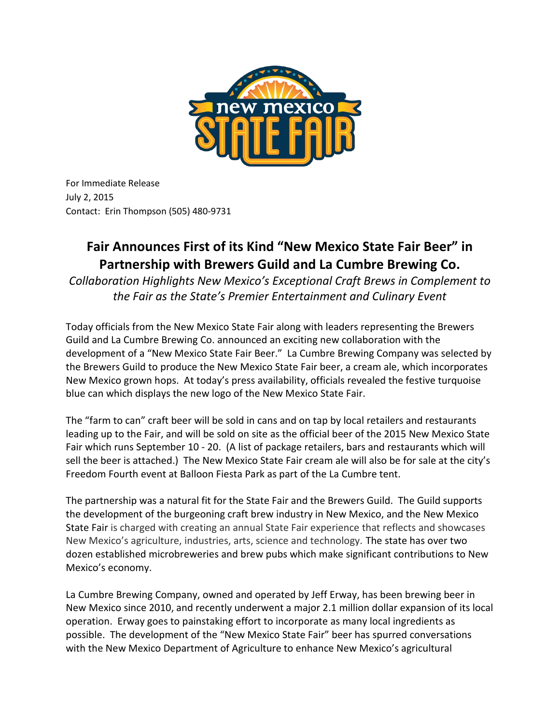

For Immediate Release July 2, 2015 Contact: Erin Thompson (505) 480-9731

# **Fair Announces First of its Kind "New Mexico State Fair Beer" in Partnership with Brewers Guild and La Cumbre Brewing Co.**

*Collaboration Highlights New Mexico's Exceptional Craft Brews in Complement to the Fair as the State's Premier Entertainment and Culinary Event* 

Today officials from the New Mexico State Fair along with leaders representing the Brewers Guild and La Cumbre Brewing Co. announced an exciting new collaboration with the development of a "New Mexico State Fair Beer." La Cumbre Brewing Company was selected by the Brewers Guild to produce the New Mexico State Fair beer, a cream ale, which incorporates New Mexico grown hops. At today's press availability, officials revealed the festive turquoise blue can which displays the new logo of the New Mexico State Fair.

The "farm to can" craft beer will be sold in cans and on tap by local retailers and restaurants leading up to the Fair, and will be sold on site as the official beer of the 2015 New Mexico State Fair which runs September 10 - 20. (A list of package retailers, bars and restaurants which will sell the beer is attached.) The New Mexico State Fair cream ale will also be for sale at the city's Freedom Fourth event at Balloon Fiesta Park as part of the La Cumbre tent.

The partnership was a natural fit for the State Fair and the Brewers Guild. The Guild supports the development of the burgeoning craft brew industry in New Mexico, and the New Mexico State Fair is charged with creating an annual State Fair experience that reflects and showcases New Mexico's agriculture, industries, arts, science and technology. The state has over two dozen established microbreweries and brew pubs which make significant contributions to New Mexico's economy.

La Cumbre Brewing Company, owned and operated by Jeff Erway, has been brewing beer in New Mexico since 2010, and recently underwent a major 2.1 million dollar expansion of its local operation. Erway goes to painstaking effort to incorporate as many local ingredients as possible. The development of the "New Mexico State Fair" beer has spurred conversations with the New Mexico Department of Agriculture to enhance New Mexico's agricultural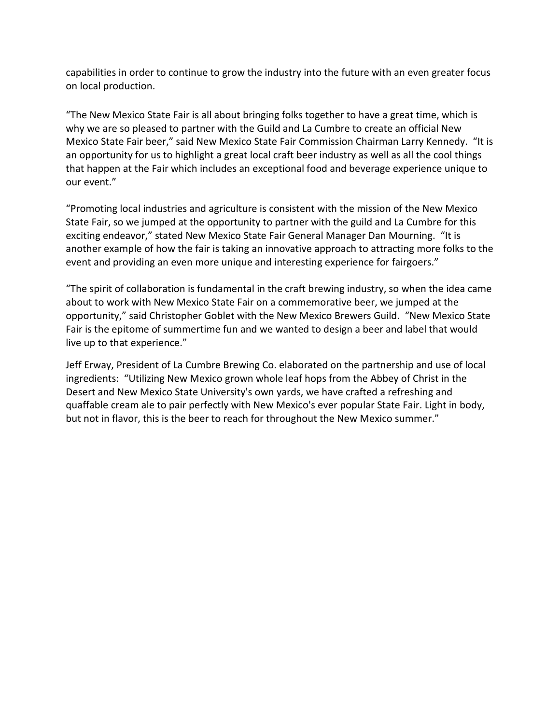capabilities in order to continue to grow the industry into the future with an even greater focus on local production.

"The New Mexico State Fair is all about bringing folks together to have a great time, which is why we are so pleased to partner with the Guild and La Cumbre to create an official New Mexico State Fair beer," said New Mexico State Fair Commission Chairman Larry Kennedy. "It is an opportunity for us to highlight a great local craft beer industry as well as all the cool things that happen at the Fair which includes an exceptional food and beverage experience unique to our event."

"Promoting local industries and agriculture is consistent with the mission of the New Mexico State Fair, so we jumped at the opportunity to partner with the guild and La Cumbre for this exciting endeavor," stated New Mexico State Fair General Manager Dan Mourning. "It is another example of how the fair is taking an innovative approach to attracting more folks to the event and providing an even more unique and interesting experience for fairgoers."

"The spirit of collaboration is fundamental in the craft brewing industry, so when the idea came about to work with New Mexico State Fair on a commemorative beer, we jumped at the opportunity," said Christopher Goblet with the New Mexico Brewers Guild. "New Mexico State Fair is the epitome of summertime fun and we wanted to design a beer and label that would live up to that experience."

Jeff Erway, President of La Cumbre Brewing Co. elaborated on the partnership and use of local ingredients: "Utilizing New Mexico grown whole leaf hops from the Abbey of Christ in the Desert and New Mexico State University's own yards, we have crafted a refreshing and quaffable cream ale to pair perfectly with New Mexico's ever popular State Fair. Light in body, but not in flavor, this is the beer to reach for throughout the New Mexico summer."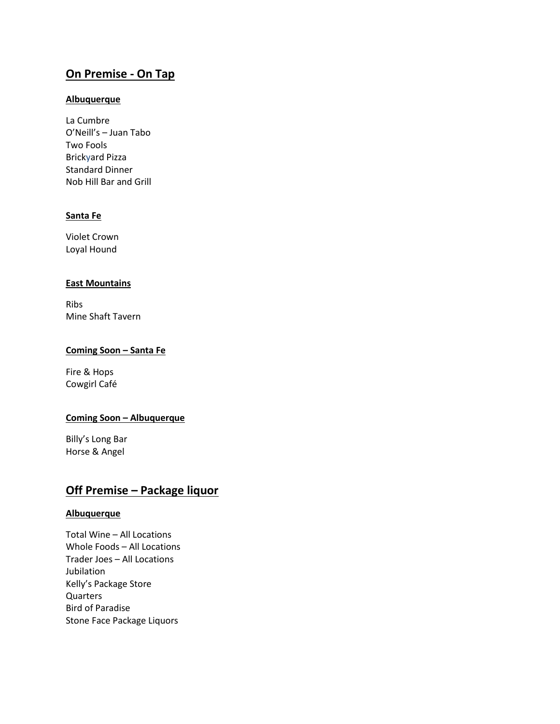# **On Premise - On Tap**

#### **Albuquerque**

La Cumbre O'Neill's – Juan Tabo Two Fools Brickyard Pizza Standard Dinner Nob Hill Bar and Grill

#### **Santa Fe**

Violet Crown Loyal Hound

#### **East Mountains**

Ribs Mine Shaft Tavern

#### **Coming Soon – Santa Fe**

Fire & Hops Cowgirl Café

#### **Coming Soon – Albuquerque**

Billy's Long Bar Horse & Angel

## **Off Premise – Package liquor**

#### **Albuquerque**

Total Wine – All Locations Whole Foods – All Locations Trader Joes – All Locations Jubilation Kelly's Package Store Quarters Bird of Paradise Stone Face Package Liquors